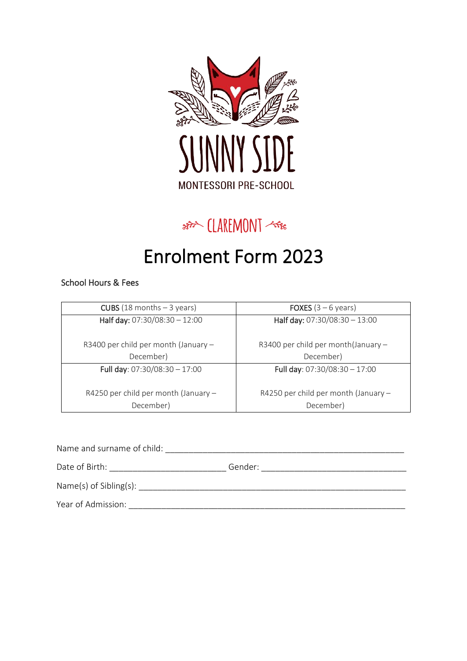

## s新 (LAREMONT <\*\*

# Enrolment Form 2023

#### School Hours & Fees

| <b>CUBS</b> (18 months $-$ 3 years)  | <b>FOXES</b> $(3 - 6$ years)         |
|--------------------------------------|--------------------------------------|
| Half day: 07:30/08:30 - 12:00        | Half day: 07:30/08:30 - 13:00        |
| R3400 per child per month (January - | R3400 per child per month(January -  |
| December)                            | December)                            |
| Full day: $07:30/08:30 - 17:00$      | Full day: $07:30/08:30 - 17:00$      |
| R4250 per child per month (January - | R4250 per child per month (January - |
| December)                            | December)                            |

| Name and surname of child:   |         |
|------------------------------|---------|
| Date of Birth:               | Gender: |
| $Name(s)$ of Sibling $(s)$ : |         |
| Year of Admission:           |         |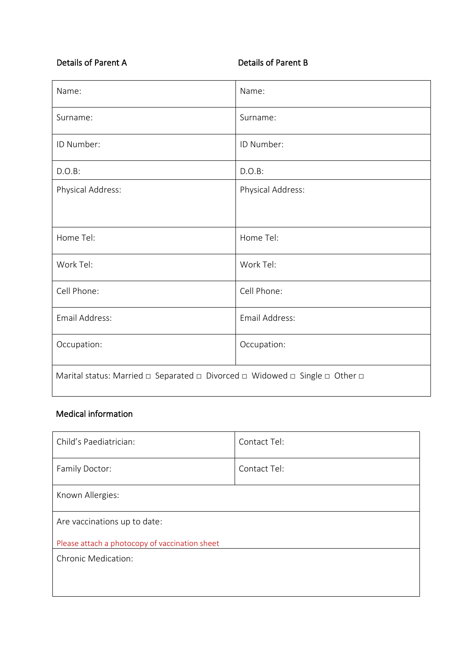### Details of Parent A Details of Parent B

| Name:                                                                                                     | Name:             |  |
|-----------------------------------------------------------------------------------------------------------|-------------------|--|
| Surname:                                                                                                  | Surname:          |  |
| ID Number:                                                                                                | ID Number:        |  |
| D.O.B:                                                                                                    | D.O.B:            |  |
| Physical Address:                                                                                         | Physical Address: |  |
|                                                                                                           |                   |  |
| Home Tel:                                                                                                 | Home Tel:         |  |
| Work Tel:                                                                                                 | Work Tel:         |  |
| Cell Phone:                                                                                               | Cell Phone:       |  |
| Email Address:                                                                                            | Email Address:    |  |
| Occupation:                                                                                               | Occupation:       |  |
| Marital status: Married $\Box$ Separated $\Box$ Divorced $\Box$ Widowed $\Box$ Single $\Box$ Other $\Box$ |                   |  |

#### Medical information

| Child's Paediatrician:                         | Contact Tel: |  |
|------------------------------------------------|--------------|--|
| Family Doctor:                                 | Contact Tel: |  |
| Known Allergies:                               |              |  |
| Are vaccinations up to date:                   |              |  |
| Please attach a photocopy of vaccination sheet |              |  |
| <b>Chronic Medication:</b>                     |              |  |
|                                                |              |  |
|                                                |              |  |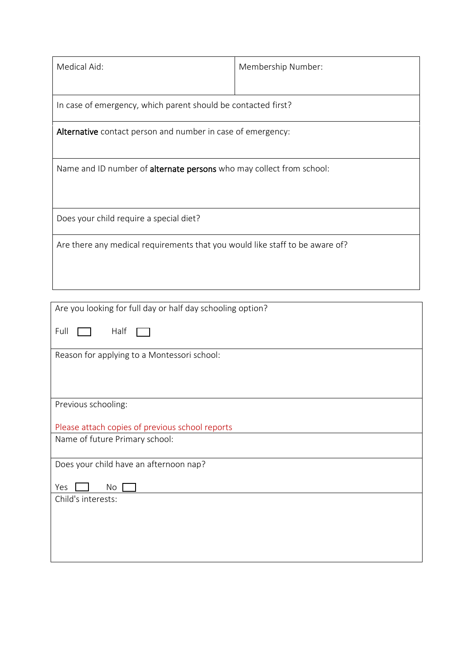| Medical Aid:                                                                 | Membership Number: |  |
|------------------------------------------------------------------------------|--------------------|--|
| In case of emergency, which parent should be contacted first?                |                    |  |
| Alternative contact person and number in case of emergency:                  |                    |  |
| Name and ID number of alternate persons who may collect from school:         |                    |  |
| Does your child require a special diet?                                      |                    |  |
| Are there any medical requirements that you would like staff to be aware of? |                    |  |
|                                                                              |                    |  |
| Are you looking for full day or half day schooling option?<br>Full<br>Half   |                    |  |
| Reason for applying to a Montessori school:                                  |                    |  |

Previous schooling:

Please attach copies of previous school reports

Name of future Primary school:

Does your child have an afternoon nap?

Yes No

Child's interests: